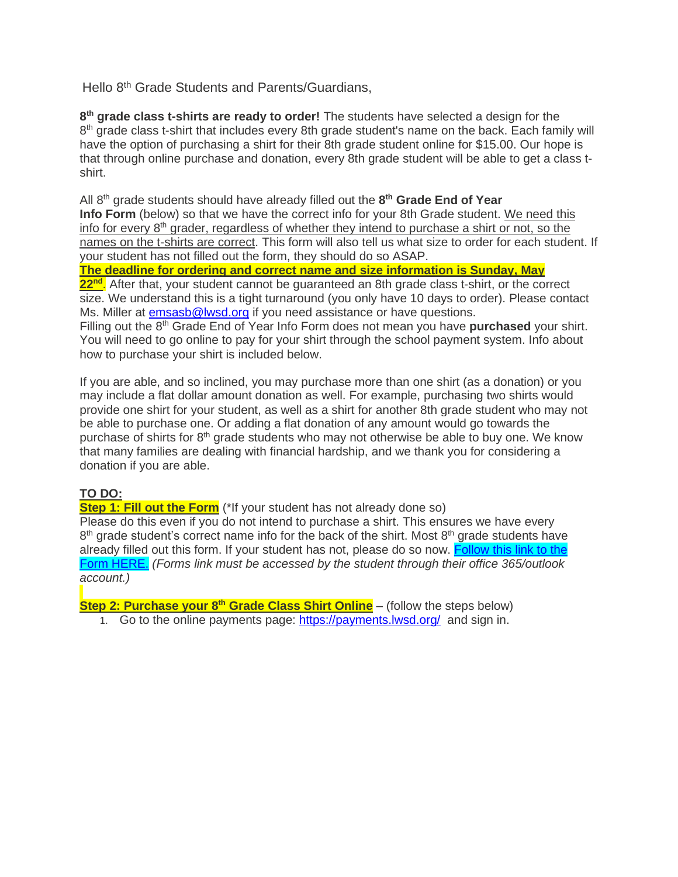Hello 8<sup>th</sup> Grade Students and Parents/Guardians,

**8 th grade class t-shirts are ready to order!** The students have selected a design for the 8<sup>th</sup> grade class t-shirt that includes every 8th grade student's name on the back. Each family will have the option of purchasing a shirt for their 8th grade student online for \$15.00. Our hope is that through online purchase and donation, every 8th grade student will be able to get a class tshirt.

All 8 th grade students should have already filled out the **8 th Grade End of Year Info Form** (below) so that we have the correct info for your 8th Grade student. We need this info for every 8<sup>th</sup> grader, regardless of whether they intend to purchase a shirt or not, so the names on the t-shirts are correct. This form will also tell us what size to order for each student. If your student has not filled out the form, they should do so ASAP.

**The deadline for ordering and correct name and size information is Sunday, May**

**22nd** . After that, your student cannot be guaranteed an 8th grade class t-shirt, or the correct size. We understand this is a tight turnaround (you only have 10 days to order). Please contact Ms. Miller at [emsasb@lwsd.org](mailto:emsasb@lwsd.org) if you need assistance or have questions.

Filling out the 8<sup>th</sup> Grade End of Year Info Form does not mean you have **purchased** your shirt. You will need to go online to pay for your shirt through the school payment system. Info about how to purchase your shirt is included below.

If you are able, and so inclined, you may purchase more than one shirt (as a donation) or you may include a flat dollar amount donation as well. For example, purchasing two shirts would provide one shirt for your student, as well as a shirt for another 8th grade student who may not be able to purchase one. Or adding a flat donation of any amount would go towards the purchase of shirts for 8<sup>th</sup> grade students who may not otherwise be able to buy one. We know that many families are dealing with financial hardship, and we thank you for considering a donation if you are able.

## **TO DO:**

**Step 1: Fill out the Form** (\*If your student has not already done so)

Please do this even if you do not intend to purchase a shirt. This ensures we have every 8<sup>th</sup> grade student's correct name info for the back of the shirt. Most 8<sup>th</sup> grade students have already filled out this form. If your student has not, please do so now. [Follow](https://nam02.safelinks.protection.outlook.com/?url=https%3A%2F%2Fforms.microsoft.com%2Fr%2Fjh05gfhQf8&data=05%7C01%7CTRIMILLER%40lwsd.org%7C3becf6c61b1e4edc508608da34985e5e%7C1fd4673fdf9646218638a1d88c4c85d7%7C0%7C0%7C637880126547701596%7CUnknown%7CTWFpbGZsb3d8eyJWIjoiMC4wLjAwMDAiLCJQIjoiV2luMzIiLCJBTiI6Ik1haWwiLCJXVCI6Mn0%3D%7C3000%7C%7C%7C&sdata=jmGYNTbzOS%2Fzo6u2h0S8oY5Gu0%2BsT%2BDxqy8ignr5FqM%3D&reserved=0) this link to the Form [HERE.](https://nam02.safelinks.protection.outlook.com/?url=https%3A%2F%2Fforms.microsoft.com%2Fr%2Fjh05gfhQf8&data=05%7C01%7CTRIMILLER%40lwsd.org%7C3becf6c61b1e4edc508608da34985e5e%7C1fd4673fdf9646218638a1d88c4c85d7%7C0%7C0%7C637880126547701596%7CUnknown%7CTWFpbGZsb3d8eyJWIjoiMC4wLjAwMDAiLCJQIjoiV2luMzIiLCJBTiI6Ik1haWwiLCJXVCI6Mn0%3D%7C3000%7C%7C%7C&sdata=jmGYNTbzOS%2Fzo6u2h0S8oY5Gu0%2BsT%2BDxqy8ignr5FqM%3D&reserved=0) *(Forms link must be accessed by the student through their office 365/outlook account.)*

**Step 2: Purchase your 8 th Grade Class Shirt Online** – (follow the steps below)

1. Go to the online payments page: [https://payments.lwsd.org/](https://nam02.safelinks.protection.outlook.com/?url=https%3A%2F%2Fpayments.lwsd.org%2F&data=05%7C01%7CTRIMILLER%40lwsd.org%7C3becf6c61b1e4edc508608da34985e5e%7C1fd4673fdf9646218638a1d88c4c85d7%7C0%7C0%7C637880126547701596%7CUnknown%7CTWFpbGZsb3d8eyJWIjoiMC4wLjAwMDAiLCJQIjoiV2luMzIiLCJBTiI6Ik1haWwiLCJXVCI6Mn0%3D%7C3000%7C%7C%7C&sdata=sW3qtgL8PVKEM6AR395JGnWK55bd1fHRd9x7MHY70R0%3D&reserved=0) and sign in.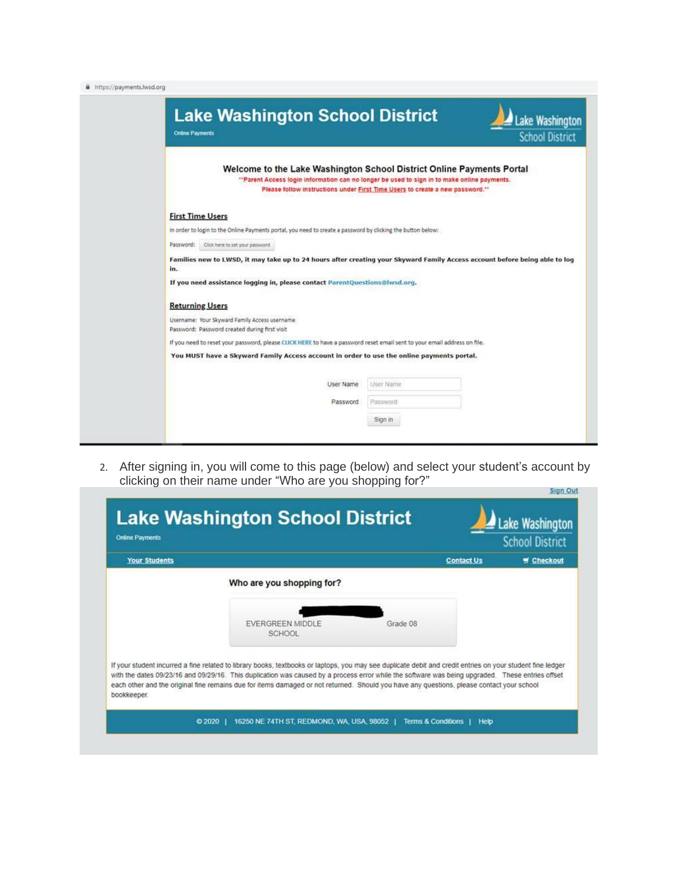| https://payments.lwsd.org |  |  |
|---------------------------|--|--|



2. After signing in, you will come to this page (below) and select your student's account by clicking on their name under "Who are you shopping for?"**Sign Out** 

| <b>Your Students</b> |                                                                                                                                                                                                                                                                                                                                                                                                                                                             |          | <b>Contact Us</b> | <b>W</b> Checkout |
|----------------------|-------------------------------------------------------------------------------------------------------------------------------------------------------------------------------------------------------------------------------------------------------------------------------------------------------------------------------------------------------------------------------------------------------------------------------------------------------------|----------|-------------------|-------------------|
|                      | Who are you shopping for?                                                                                                                                                                                                                                                                                                                                                                                                                                   |          |                   |                   |
|                      | <b>EVERGREEN MIDDLE</b><br><b>SCHOOL</b>                                                                                                                                                                                                                                                                                                                                                                                                                    | Grade 08 |                   |                   |
| bookkeeper.          | If your student incurred a fine related to library books, textbooks or laptops, you may see duplicate debit and credit entries on your student fine ledger<br>with the dates 09/23/16 and 09/29/16. This duplication was caused by a process error while the software was being upgraded. These entries offset<br>each other and the original fine remains due for items damaged or not returned. Should you have any questions, please contact your school |          |                   |                   |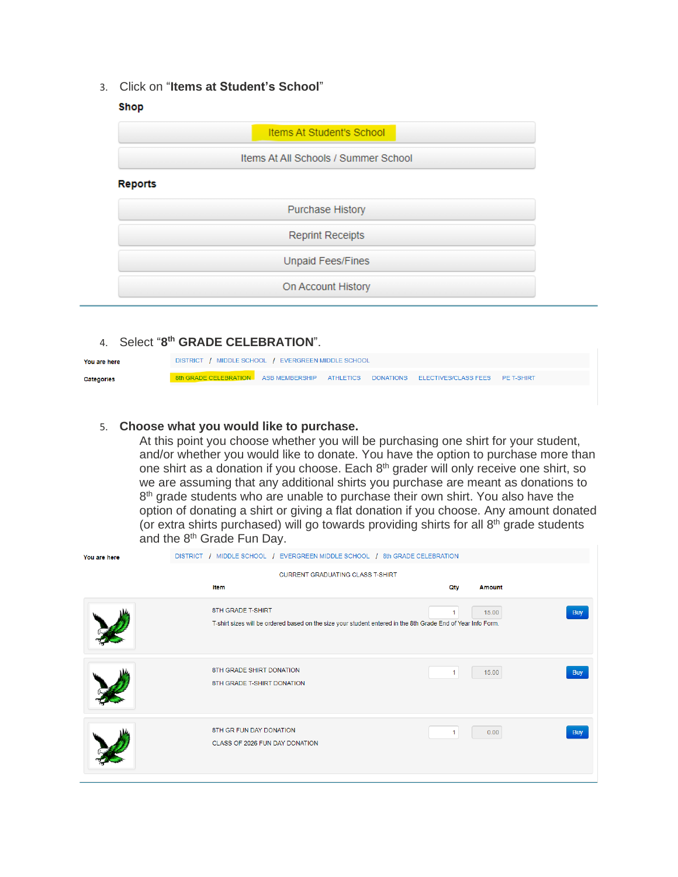3. Click on "**Items at Student's School**"

## Shop

|                | <b>Items At Student's School</b>     |  |
|----------------|--------------------------------------|--|
|                | Items At All Schools / Summer School |  |
| <b>Reports</b> |                                      |  |
|                | <b>Purchase History</b>              |  |
|                | <b>Reprint Receipts</b>              |  |
|                | Unpaid Fees/Fines                    |  |
|                | On Account History                   |  |

## 4. Select "**8 th GRADE CELEBRATION**".

| You are here      | DISTRICT / MIDDLE SCHOOL / EVERGREEN MIDDLE SCHOOL                                       |  |  |  |  |  |
|-------------------|------------------------------------------------------------------------------------------|--|--|--|--|--|
| <b>Categories</b> | 8th GRADE CELEBRATION ASB MEMBERSHIP ATHLETICS DONATIONS ELECTIVES/CLASS FEES PE T-SHIRT |  |  |  |  |  |

## 5. **Choose what you would like to purchase.**

At this point you choose whether you will be purchasing one shirt for your student, and/or whether you would like to donate. You have the option to purchase more than one shirt as a donation if you choose. Each 8<sup>th</sup> grader will only receive one shirt, so we are assuming that any additional shirts you purchase are meant as donations to 8<sup>th</sup> grade students who are unable to purchase their own shirt. You also have the option of donating a shirt or giving a flat donation if you choose. Any amount donated (or extra shirts purchased) will go towards providing shirts for all 8<sup>th</sup> grade students and the 8<sup>th</sup> Grade Fun Day.

| DISTRICT / MIDDLE SCHOOL / EVERGREEN MIDDLE SCHOOL / 8th GRADE CELEBRATION<br>You are here |                                                           |                                                                                                              |                     |  |
|--------------------------------------------------------------------------------------------|-----------------------------------------------------------|--------------------------------------------------------------------------------------------------------------|---------------------|--|
|                                                                                            | <b>CURRENT GRADUATING CLASS T-SHIRT</b><br>Item           | Qty                                                                                                          | <b>Amount</b>       |  |
|                                                                                            | 8TH GRADE T-SHIRT                                         | T-shirt sizes will be ordered based on the size your student entered in the 8th Grade End of Year Info Form. | 15.00<br><b>Buy</b> |  |
|                                                                                            | 8TH GRADE SHIRT DONATION<br>8TH GRADE T-SHIRT DONATION    | 1.                                                                                                           | 15.00<br><b>Buy</b> |  |
|                                                                                            | 8TH GR FUN DAY DONATION<br>CLASS OF 2026 FUN DAY DONATION | 1.                                                                                                           | 0.00<br><b>Buy</b>  |  |